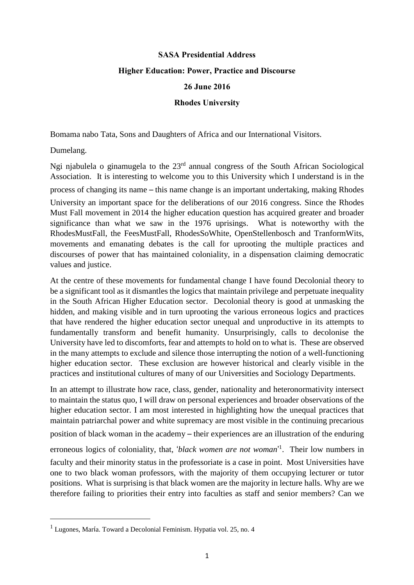## **SASA Presidential Address Higher Education: Power, Practice and Discourse 26 June 2016**

## **Rhodes University**

Bomama nabo Tata, Sons and Daughters of Africa and our International Visitors.

Dumelang.

 $\overline{a}$ 

Ngi njabulela o ginamugela to the 23rd annual congress of the South African Sociological Association. It is interesting to welcome you to this University which I understand is in the process of changing its name – this name change is an important undertaking, making Rhodes University an important space for the deliberations of our 2016 congress. Since the Rhodes Must Fall movement in 2014 the higher education question has acquired greater and broader significance than what we saw in the 1976 uprisings. What is noteworthy with the RhodesMustFall, the FeesMustFall, RhodesSoWhite, OpenStellenbosch and TranformWits, movements and emanating debates is the call for uprooting the multiple practices and discourses of power that has maintained coloniality, in a dispensation claiming democratic values and justice.

At the centre of these movements for fundamental change I have found Decolonial theory to be a significant tool as it dismantles the logics that maintain privilege and perpetuate inequality in the South African Higher Education sector. Decolonial theory is good at unmasking the hidden, and making visible and in turn uprooting the various erroneous logics and practices that have rendered the higher education sector unequal and unproductive in its attempts to fundamentally transform and benefit humanity. Unsurprisingly, calls to decolonise the University have led to discomforts, fear and attempts to hold on to what is. These are observed in the many attempts to exclude and silence those interrupting the notion of a well-functioning higher education sector. These exclusion are however historical and clearly visible in the practices and institutional cultures of many of our Universities and Sociology Departments.

In an attempt to illustrate how race, class, gender, nationality and heteronormativity intersect to maintain the status quo, I will draw on personal experiences and broader observations of the higher education sector. I am most interested in highlighting how the unequal practices that maintain patriarchal power and white supremacy are most visible in the continuing precarious position of black woman in the academy – their experiences are an illustration of the enduring erroneous logics of coloniality, that, '*black women are not woman*' 1 . Their low numbers in faculty and their minority status in the professoriate is a case in point. Most Universities have

one to two black woman professors, with the majority of them occupying lecturer or tutor positions. What is surprising is that black women are the majority in lecture halls. Why are we therefore failing to priorities their entry into faculties as staff and senior members? Can we

 $<sup>1</sup>$  Lugones, María. Toward a Decolonial Feminism. Hypatia vol. 25, no. 4</sup>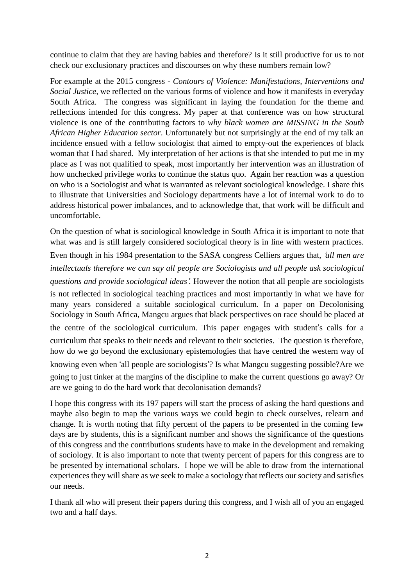continue to claim that they are having babies and therefore? Is it still productive for us to not check our exclusionary practices and discourses on why these numbers remain low?

For example at the 2015 congress - *Contours of Violence: Manifestations, Interventions and Social Justice,* we reflected on the various forms of violence and how it manifests in everyday South Africa. The congress was significant in laying the foundation for the theme and reflections intended for this congress. My paper at that conference was on how structural violence is one of the contributing factors to *why black women are MISSING in the South African Higher Education sector*. Unfortunately but not surprisingly at the end of my talk an incidence ensued with a fellow sociologist that aimed to empty-out the experiences of black woman that I had shared. My interpretation of her actions is that she intended to put me in my place as I was not qualified to speak, most importantly her intervention was an illustration of how unchecked privilege works to continue the status quo. Again her reaction was a question on who is a Sociologist and what is warranted as relevant sociological knowledge. I share this to illustrate that Universities and Sociology departments have a lot of internal work to do to address historical power imbalances, and to acknowledge that, that work will be difficult and uncomfortable.

On the question of what is sociological knowledge in South Africa it is important to note that what was and is still largely considered sociological theory is in line with western practices. Even though in his 1984 presentation to the SASA congress Celliers argues that, '*all men are intellectuals therefore we can say all people are Sociologists and all people ask sociological questions and provide sociological ideas*'*.* However the notion that all people are sociologists is not reflected in sociological teaching practices and most importantly in what we have for many years considered a suitable sociological curriculum. In a paper on Decolonising Sociology in South Africa, Mangcu argues that black perspectives on race should be placed at the centre of the sociological curriculum. This paper engages with student's calls for a curriculum that speaks to their needs and relevant to their societies. The question is therefore, how do we go beyond the exclusionary epistemologies that have centred the western way of knowing even when 'all people are sociologists'? Is what Mangcu suggesting possible?Are we going to just tinker at the margins of the discipline to make the current questions go away? Or are we going to do the hard work that decolonisation demands?

I hope this congress with its 197 papers will start the process of asking the hard questions and maybe also begin to map the various ways we could begin to check ourselves, relearn and change. It is worth noting that fifty percent of the papers to be presented in the coming few days are by students, this is a significant number and shows the significance of the questions of this congress and the contributions students have to make in the development and remaking of sociology. It is also important to note that twenty percent of papers for this congress are to be presented by international scholars. I hope we will be able to draw from the international experiences they will share as we seek to make a sociology that reflects our society and satisfies our needs.

I thank all who will present their papers during this congress, and I wish all of you an engaged two and a half days.